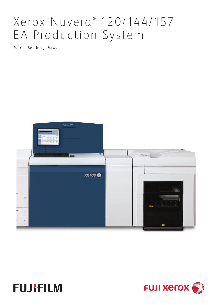# Xerox Nuvera ® 120/144/157 EA Production System

Put Your Best Image Forward





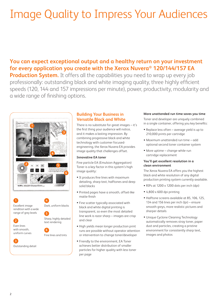# Image Quality to Impress Your Audiences

# **You can expect exceptional output and a healthy return on your investment for every application you create with the Xerox Nuvera® 120/144/157 EA**

**Production System.** It offers all the capabilities you need to wrap up every job professionally: outstanding black and white imaging quality, three highly efficient speeds (120, 144 and 157 impressions per minute), power, productivity, modularity and a wide range of finishing options.





## **Building Your Business in Versatile Black and White**

There is no substitute for great images – it's the first thing your audience will notice, and it makes a lasting impression. By combining progressive black and white technology with customer focusedengineering, the Xerox Nuvera EA provides image quality that challenges offset.

#### **Innovative EA toner**

Fine particle EA (Emulsion Aggregation) Toner is a key factor in this system's high image quality:

- It produces fine lines with maximum detailing, sharp text, halftones and deep solid blacks
- Printed pages have a smooth, offset-like matte finish
- Fine scatter typically associated with black and white digital printing is transparent, so even the most detailed line work is razor sharp – images are crisp and clear
- High yields mean longer production print runs are possible without operator attention or intervention to change toner/developer
- Friendly to the environment, EA Toner achieves better distribution of smaller particles for higher quality with less toner per page

#### **More unattended run time saves you time**

Toner and developer are uniquely combined in a single container, offering you key benefits:

- Replace less often average yield is up to 210,000 prints per cartridge
- Maximum unattended run time add optional second toner container system
- More uptime change-while-run cartridge replacement

#### **You'll get excellent resolution in a clean environment**

The Xerox Nuvera EA offers you the highest black and white resolution of any digital production printing system currently available.

- RIPs at 1200 x 1200 dots per inch (dpi)
- 4,800 x 600 dpi printing
- Halftone screens available at 85, 106, 125, 134 and 156 lines per inch (lpi) – ensure smooth greys, more realistic pictures and sharper details
- Unique Cyclone Cleaning Technology automatically removes stray toner, paper dust and particles, creating a pristine environment for consistently sharp text, images and photos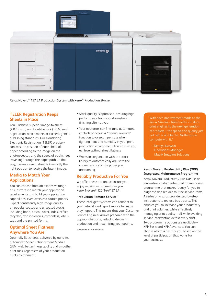

Xerox Nuvera® 157 EA Production System with Xerox® Production Stacker

### **TELER Registration Keeps Sheets in Place**

You'll achieve superior image-to-sheet  $(\pm 0.65$  mm) and front-to-back ( $\pm 0.65$  mm) registration, which meets or exceeds general publishing standards. Our Translating Electronic Registration (TELER) precisely controls the position of each sheet of paper according to the image on the photoreceptor, and the speed of each sheet travelling through the paper path. In this way, it ensures each sheet is in exactly the right position to receive the latent image.

## **Media to Match Your Applications**

You can choose from an expansive range of substrates to match your application requirements and build your application capabilities, even oversized coated papers. Expect consistently high image quality on popular coated and uncoated stocks, including bond, bristol, cover, index, offset, recycled, transparencies, carbonless, labels, tabs and pre-printed forms.

### **Optimal Sheet Flatness Anywhere You Are**

Optimally flat sheets, delivered by our slim, automated Sheet Enhancement Module (SEM) yield better image quality and smoother print runs, regardless of your production print environment.

- Stack quality is optimised, ensuring high performance from your downstream finishing alternatives
- Your operators can fine-tune automated controls or access a "manual override" function to overcompensate when fighting heat and humidity in your print production environment; this ensures you achieve optimal sheet flatness
- Works in conjunction with the stock library to automatically adjust to the characteristics of the paper you are running

### **Reliably Productive For You**

We offer these options to ensure you enjoy maximum uptime from your Xerox Nuvera® 120/144/157 EA.

#### **Production Remote Service\***

These intelligent systems can connect to your network and report service issues as they happen. This means that your Customer Service Engineer arrives prepared with the appropriate parts, reducing delays in production and maximising your uptime.

\*Subject to local availability

"With each improvement made to the Xerox Nuvera – from feeders to dual print engines to the next generation of stackers – the speed and quality just get better and better. Nothing can

– Kenny Liszewski Operations Manager Matrix Imaging Solutions

#### **Xerox Nuvera Productivity Plus (XPP) Integrated Maintenance Programme**

Xerox Nuvera Productivity Plus (XPP) is an innovative, customer-focused maintenance programme that makes it easy for you to diagnose and replace routine service items. A series of wizards provide step-by-step instructions to replace basic parts. This enables you to increase your productivity and print volumes, while effectively managing print quality – all while avoiding service intervention across every shift. Two programme options are available – XPP Basic and XPP Advanced. You can choose which is best for you based on the level of participation that works for your business.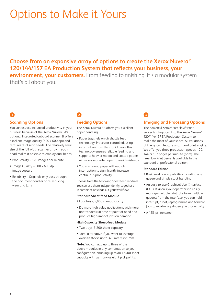# Options to Make it Yours

# **Choose from an expansive array of options to create the Xerox Nuvera® 120/144/157 EA Production System that reflects your business, your environment, your customers.** From feeding to finishing, it's a modular system

that's all about you.

# **1 2**

### **Scanning Options**

You can expect increased productivity in your business because of the Xerox Nuvera EA's optional integrated onboard scanner. It offers excellent image quality (600 x 600 dpi) and features dual scan heads. The relatively small size of the full width scanner array in each head makes it possible to employ dual heads.

- Productivity 120 images per minute
- Image Quality 600 x 600 dpi image capture
- Reliability Originals only pass through the document handler once, reducing wear and jams

# **Feeding Options**

The Xerox Nuvera EA offers you excellent paper handling.

- Paper trays rely on air shuttle feed technology. Processor-controlled, using information from the stock library, this technology ensures reliable feeding and supports heavier media and coated paper; air knives separate paper to avoid misfeeds
- You can reload paper without job interruption to significantly increase continuous productivity

Choose from the following Sheet-feed modules. You can use them independently, together or in combinations that suit your workflow:

#### **Standard Sheet-feed Module**

- Four trays, 5,800 sheet capacity
- Do more high-value applications with more unattended run time at point of need and produce high-impact jobs on demand

#### **High Capacity Sheet-feed Module**

- Two trays, 3,200 sheet capacity
- Ideal alternative if you want to leverage oversize stocks up to 320 mm x 491 mm

**Note**: You can add up to three of the above modules in any combination to your configuration, enabling up to an 17,400 sheet capacity with as many as eight pick points.

# **3**

### **Imaging and Processing Options**

The powerful Xerox® FreeFlow® Print Server is integrated into the Xerox Nuvera<sup>®</sup> 120/144/157 EA Production System to make the most of your space. All variations of the system feature a standard print engine. We offer you three production speeds: 120, 144 or 157 pages per minute (ppm). The FreeFlow Print Server is available in the standard or professional edition.

#### **Standard Edition**

- Basic workflow capabilities including one queue and simple stock handling
- An easy-to-use Graphical User Interface (GUI). It allows your operators to easily manage multiple print jobs from multiple queues; from the interface, you can hold, interrupt, proof, reprogramme and forward jobs to maximise print engine productivity
- A 125 lpi line screen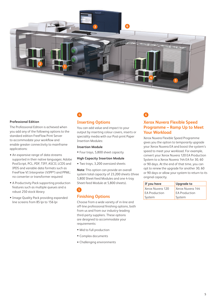

#### **Professional Edition**

The Professional Edition is achieved when you add any of the following options to the standard edition FreeFlow Print Server to accommodate your workflow and enable greater connectivity to mainframe applications:

- An expansive range of data streams supported in their native languages: Adobe PostScript, PCL, PDF, TIFF, ASCII, LCDS and IPDS and variable data formats such as FreeFlow VI Interpreter (VIPP®) and PPML; no converter or transformer required
- A Productivity Pack supporting production features such as multiple queues and a robust 250 stock library
- Image Quality Pack providing expanded line screens from 85 lpi to 156 lpi

# **Inserting Options**

**4**

**5**

You can add value and impact to your output by inserting colour covers, inserts or speciality media with our Post-print Paper Insertion Modules:

#### **Insertion Module**

• Four trays, 5,800 sheet capacity

#### **High Capacity Insertion Module**

• Two trays, 3,200 oversized sheets

**Note**: This option can provide an overall system total capacity of 23,200 sheets (three 5,800 Sheet-feed Modules and one 4-tray Sheet-feed Module at 5,800 sheets).

# **Finishing Options**

Choose from a wide variety of in-line and off-line professional finishing options, both from us and from our industry-leading third-party suppliers. These options are designed to accommodate your requirements:

- Mid to full production
- Complex documents
- Challenging environments

## **Xerox Nuvera Flexible Speed Programme – Ramp Up to Meet Your Workload**

**6**

Xerox Nuvera Flexible Speed Programme gives you the option to temporarily upgrade your Xerox Nuvera EA and boost the system's speed to meet your workload. For example, convert your Xerox Nuvera 120 EA Production System to a Xerox Nuvera 144 EA for 30, 60 or 90 days. At the end of that time, you can opt to renew the upgrade for another 30, 60 or 90 days or allow your system to return to its original capacity.

| <b>Upgrade to</b>    |
|----------------------|
| Xerox Nuvera 144     |
| <b>EA Production</b> |
| System               |
|                      |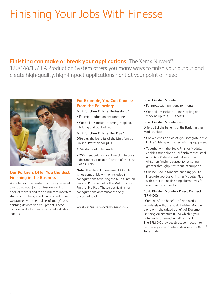# Finishing Your Jobs With Finesse

**Finishing can make or break your applications.** The Xerox Nuvera<sup>®</sup> 120/144/157 EA Production System offers you many ways to finish your output and create high-quality, high-impact applications right at your point of need.



## **Our Partners Offer You the Best Finishing in the Business**

We offer you the finishing options you need to wrap up your jobs professionally. From booklet makers and tape binders to inserters, stackers, stitchers, spiral binders and more, we partner with the makers of today's best finishing devices and equipment. These include products from recognized industry leaders.

# **For Example, You Can Choose From the Following:**

#### **Multifunction Finisher Professional\***

- For mid-production environments
- Capabilities include stacking, stapling, folding and booklet making

#### **Multifunction Finisher Pro Plus \***

Offers all the benefits of the Multifunction Finisher Professional, plus:

- 2/4 standard hole punch
- 200 sheet colour cover insertion to boost document value at a fraction of the cost of full colour

**Note**: The Sheet Enhancement Module is not compatible with or included in configurations featuring the Multifunction Finisher Professional or the Multifunction Finisher Pro Plus. These specific finisher configurations accommodate only uncoated stock.

\*Available on Xerox Nuvera 120 EA Production System

#### **Basic Finisher Module**

- For production print environments
- Capabilities include in-line stapling and stacking up to 3,000 sheets

#### **Basic Finisher Module Plus**

Offers all of the benefits of the Basic Finisher Module, plus:

- Convenient side exit lets you integrate basic in-line finishing with other finishing equipment
- Together with the Basic Finisher Module, enables standalone dual finishers that stack up to 6,000 sheets and delivers unloadwhile-run finishing capability, ensuring greater throughput without interruption
- Can be used in tandem, enabling you to integrate two Basic Finisher Modules Plus with other in-line finishing alternatives for even greater capacity

#### **Basic Finisher Module – Direct Connect (BFM-DC)**

Offers all of the benefits of, and works seamlessly with, the Basic Finisher Module, along with the added benefit of Document Finishing Architecture (DFA), which is your gateway to alternative in-line finishing. The BFM-DC provides direct connection to centre-registered finishing devices - the Xerox® Tape Binder.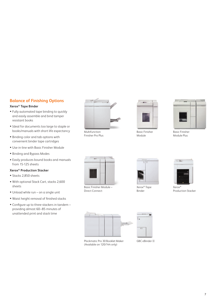# **Balance of Finishing Options**

### **Xerox® Tape Binder**

- Fully automated tape binding to quickly and easily assemble and bind tamper resistant books
- Ideal for documents too large to staple or books/manuals with short life expectancy
- Binding color and tab options with convenient binder tape cartridges
- Use in-line with Basic Finisher Module
- Binding and Bypass Modes
- Easily produces bound books and manuals from 15-125 sheets

#### **Xerox® Production Stacker**

- Stacks 2,850 sheets
- With optional Stack Cart, stacks 2,600 sheets
- Unload while run on a single unit
- Waist height removal of finished stacks
- Configure up to three stackers in tandem providing almost 60–85 minutes of unattended print and stack time



Multifunction Finisher Pro Plus



Basic Finisher Module



Basic Finisher Module Plus



Basic Finisher Module – Direct Connect



Xerox® Tape Binder



Xerox® Production Stacker





GBC eBinder II

T.

 $\overline{\phantom{0}}$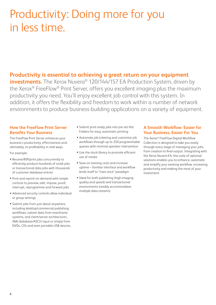# Productivity: Doing more for you in less time.

# **Productivity is essential to achieving a great return on your equipment**

**investments.** The Xerox Nuvera<sup>®</sup> 120/144/157 EA Production System, driven by the Xerox® FreeFlow® Print Server, offers you excellent imaging plus the maximum productivity you need. You'll enjoy excellent job control with this system. In addition, it offers the flexibility and freedom to work within a number of network environments to produce business-building applications on a variety of equipment.

## **How the FreeFlow Print Server Benefits Your Business**

The FreeFlow Print Server enhances your business's productivity, effectiveness and, ultimately, its profitability in vital ways.

For example:

- Receive/RIP/print jobs concurrently to efficiently produce hundreds of small jobs or transactional data jobs with thousands of customer database entries
- Print and reprint on-demand with simple controls to preview, edit, impose, proof, interrupt, reprogramme and forward jobs
- Advanced security controls allow individual or group settings
- Submit jobs from just about anywhere, including desktop/commercial publishing workflows; submit data from mainframe systems, and client/server architectures, XML/database/ASCII input or simply from DVDs, CDs and even portable USB devices.
- Submit print-ready jobs into pre-set Hot Folders for easy, automatic printing
- Automate job ticketing and customise job workflows through up to 250 programmable queues with minimal operator intervention
- Use the stock library to promote efficient use of media
- Save on training costs and increase uptime – familiar interface and workflow lends itself to "train once" paradigm
- Ideal for both publishing (high imaging quality and speed) and transactional environments (readily accommodates multiple data streams)

# **A Smooth Workflow: Easier for Your Business, Easier For You**

The Xerox® FreeFlow Digital Workflow Collection is designed to take you easily through every stage of managing your jobs, from creation to final output. Integrating with the Xerox Nuvera EA, this suite of optional solutions enables you to enhance, automate and simplify your existing workflow, increasing productivity and making the most of your investment.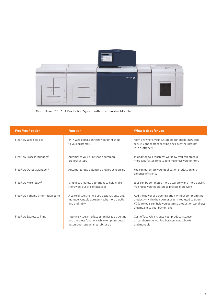

Xerox Nuvera® 157 EA Production System with Basic Finisher Module

| FreeFlow <sup>®</sup> option         | <b>Function</b>                                                                                                                          | What it does for you                                                                                                                                                                                            |
|--------------------------------------|------------------------------------------------------------------------------------------------------------------------------------------|-----------------------------------------------------------------------------------------------------------------------------------------------------------------------------------------------------------------|
| FreeFlow Web Services                | 24/7 Web portal connects your print shop<br>to your customers                                                                            | From anywhere, your customers can submit new jobs<br>securely and reorder existing ones over the Internet<br>(or an intranet)                                                                                   |
| FreeFlow Process Manager®            | Automates your print shop's common<br>pre-press steps                                                                                    | In addition to a touchless workflow, you can process<br>more jobs faster, for less, and maximise your printers                                                                                                  |
| FreeFlow Output Manager <sup>®</sup> | Automates load balancing and job scheduling                                                                                              | You can automate your application production and<br>enhance efficiency                                                                                                                                          |
| FreeFlow Makeready®                  | Simplifies prepress operations to help make<br>short work out of complex jobs                                                            | Jobs can be completed more accurately and more quickly,<br>freeing up your operators to process more work                                                                                                       |
| FreeFlow Variable Information Suite  | A suite of tools to help you design, create and<br>manage variable data print jobs more quickly<br>and profitably                        | Add the power of personalisation without compromising<br>productivity. On their own or as an integrated solution,<br>VI Suite tools can help you optimise production workflows<br>and maximise your bottom line |
| FreeFlow Express to Print            | Intuitive visual interface simplifies job ticketing<br>and pre-press functions while template-based<br>automation streamlines job set-up | Cost-effectively increase your productivity, even<br>on cumbersome jobs like business cards, books<br>and manuals                                                                                               |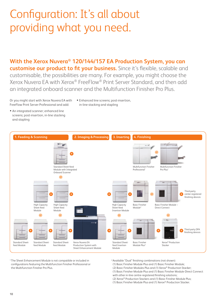# Configuration: It's all about providing what you need.

**With the Xerox Nuvera® 120/144/157 EA Production System, you can customise our product to fit your business.** Since it's flexible, scalable and customisable, the possibilities are many. For example, you might choose the Xerox Nuvera EA with Xerox® FreeFlow® Print Server Standard, and then add an integrated onboard scanner and the Multifunction Finisher Pro Plus.

Or you might start with Xerox Nuvera EA with FreeFlow Print Server Professional and add:

- Enhanced line screens; post-insertion, in-line stacking and stapling
- An integrated scanner; enhanced line screens; post-insertion, in-line stacking and stapling



1 The Sheet Enhancement Module is not compatible or included in configurations featuring the Multifunction Finisher Professional or the Multifunction Finisher Pro Plus.

- 2 Available "Dual" finishing combinations (not shown):
- (1) Basic Finisher Module Plus and (1) Basic Finisher Module;
- (2) Basic Finisher Modules Plus and (1) Xerox® Production Stacker;
- (1) Basic Finisher Module Plus and (1) Basic Finisher Module-Direct Connect
- with other in-line centre-registered finishing solutions;
- (2) Xerox® Production Stackers and (1) Basic Finisher Module Plus; (1) Basic Finisher Module Plus and (1) Xerox® Production Stacker.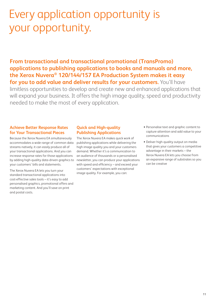# Every application opportunity is your opportunity.

**From transactional and transactional promotional (TransPromo) applications to publishing applications to books and manuals and more, the Xerox Nuvera® 120/144/157 EA Production System makes it easy for you to add value and deliver results for your customers.** You'll have

limitless opportunities to develop and create new and enhanced applications that will expand your business. It offers the high image quality, speed and productivity needed to make the most of every application.

## **Achieve Better Response Rates for Your Transactional Pieces**

Because the Xerox Nuvera EA simultaneously accommodates a wide range of common data streams natively, it can easily produce all of your transactional applications. And you can increase response rates for those applications by adding high-quality data-driven graphics to your customers' bills and statements.

The Xerox Nuvera EA lets you turn your standard transactional applications into cost-effective sales tools – it's easy to add personalised graphics, promotional offers and marketing content. And you'll save on print and postal costs.

# **Quick and High-quality Publishing Applications**

The Xerox Nuvera EA makes quick work of publishing applications while delivering the high image quality you and your customers demand. Whether it's a communication to an audience of thousands or a personalised newsletter, you can produce your applications with speed and efficiency – and exceed your customers' expectations with exceptional image quality. For example, you can:

- Personalise text and graphic content to capture attention and add value to your communications
- Deliver high-quality output on media that gives your customers a competitive advantage in their markets – the Xerox Nuvera EA lets you choose from an expansive range of substrates so you can be creative